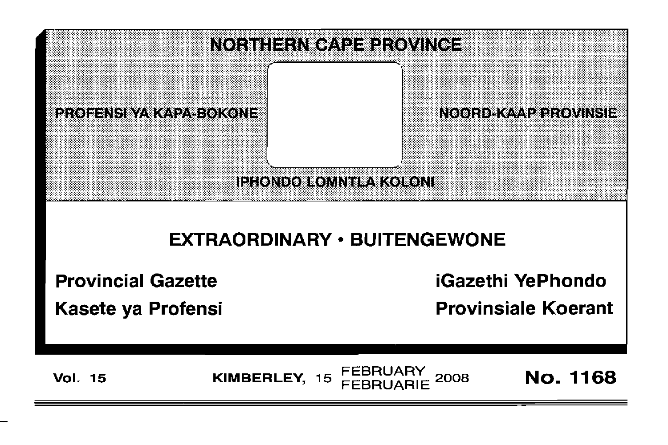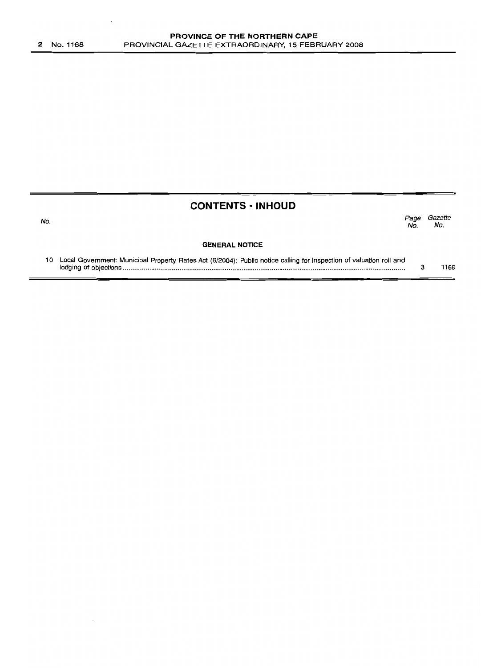No.

## **CONTENTS ·INHOUD**

Page Gazette No. No.

#### **GENERAL NOTICE**

| 10 Local Government: Municipal Property Rates Act (6/2004): Public notice calling for inspection of valuation roll and |      |
|------------------------------------------------------------------------------------------------------------------------|------|
|                                                                                                                        | 1168 |